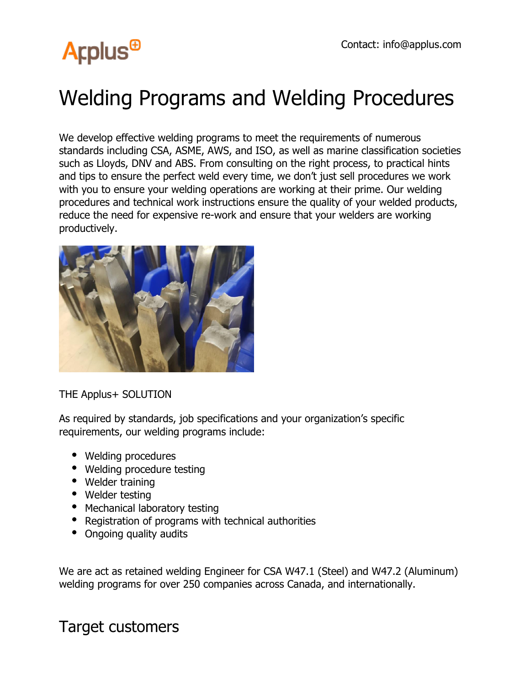## **Arplus<sup>®</sup>**

### Welding Programs and Welding Procedures

We develop effective welding programs to meet the requirements of numerous standards including CSA, ASME, AWS, and ISO, as well as marine classification societies such as Lloyds, DNV and ABS. From consulting on the right process, to practical hints and tips to ensure the perfect weld every time, we don't just sell procedures we work with you to ensure your welding operations are working at their prime. Our welding procedures and technical work instructions ensure the quality of your welded products, reduce the need for expensive re-work and ensure that your welders are working productively.



THE Applus+ SOLUTION

As required by standards, job specifications and your organization's specific requirements, our welding programs include:

- Welding procedures
- Welding procedure testing
- Welder training
- Welder testing
- Mechanical laboratory testing
- Registration of programs with technical authorities
- Ongoing quality audits

We are act as retained welding Engineer for CSA W47.1 (Steel) and W47.2 (Aluminum) welding programs for over 250 companies across Canada, and internationally.

#### Target customers